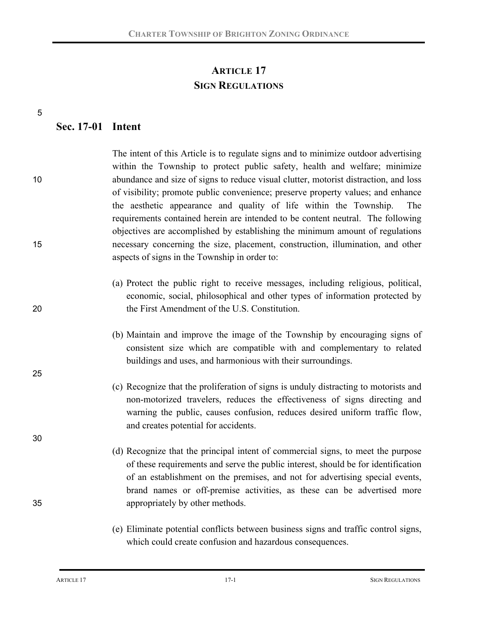# **ARTICLE 17 SIGN REGULATIONS**

5

25

30

### **Sec. 17-01 Intent**

The intent of this Article is to regulate signs and to minimize outdoor advertising within the Township to protect public safety, health and welfare; minimize 10 abundance and size of signs to reduce visual clutter, motorist distraction, and loss of visibility; promote public convenience; preserve property values; and enhance the aesthetic appearance and quality of life within the Township. The requirements contained herein are intended to be content neutral. The following objectives are accomplished by establishing the minimum amount of regulations 15 necessary concerning the size, placement, construction, illumination, and other aspects of signs in the Township in order to:

- (a) Protect the public right to receive messages, including religious, political, economic, social, philosophical and other types of information protected by 20 the First Amendment of the U.S. Constitution.
	- (b) Maintain and improve the image of the Township by encouraging signs of consistent size which are compatible with and complementary to related buildings and uses, and harmonious with their surroundings.
	- (c) Recognize that the proliferation of signs is unduly distracting to motorists and non-motorized travelers, reduces the effectiveness of signs directing and warning the public, causes confusion, reduces desired uniform traffic flow, and creates potential for accidents.
- (d) Recognize that the principal intent of commercial signs, to meet the purpose of these requirements and serve the public interest, should be for identification of an establishment on the premises, and not for advertising special events, brand names or off-premise activities, as these can be advertised more 35 appropriately by other methods.
	- (e) Eliminate potential conflicts between business signs and traffic control signs, which could create confusion and hazardous consequences.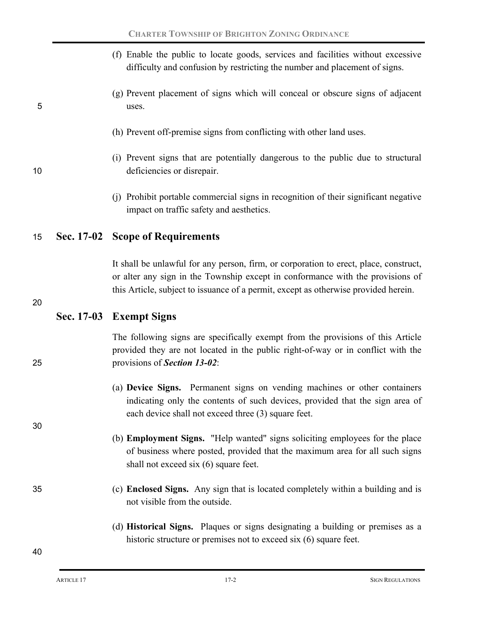|    | (f) Enable the public to locate goods, services and facilities without excessive<br>difficulty and confusion by restricting the number and placement of signs.                                                                                                 |
|----|----------------------------------------------------------------------------------------------------------------------------------------------------------------------------------------------------------------------------------------------------------------|
| 5  | (g) Prevent placement of signs which will conceal or obscure signs of adjacent<br>uses.                                                                                                                                                                        |
|    | (h) Prevent off-premise signs from conflicting with other land uses.                                                                                                                                                                                           |
| 10 | (i) Prevent signs that are potentially dangerous to the public due to structural<br>deficiencies or disrepair.                                                                                                                                                 |
|    | (i) Prohibit portable commercial signs in recognition of their significant negative<br>impact on traffic safety and aesthetics.                                                                                                                                |
| 15 | Sec. 17-02 Scope of Requirements                                                                                                                                                                                                                               |
| 20 | It shall be unlawful for any person, firm, or corporation to erect, place, construct,<br>or alter any sign in the Township except in conformance with the provisions of<br>this Article, subject to issuance of a permit, except as otherwise provided herein. |
|    |                                                                                                                                                                                                                                                                |
|    | Sec. 17-03 Exempt Signs                                                                                                                                                                                                                                        |
| 25 | The following signs are specifically exempt from the provisions of this Article<br>provided they are not located in the public right-of-way or in conflict with the<br>provisions of <b>Section 13-02</b> :                                                    |
|    | (a) Device Signs. Permanent signs on vending machines or other containers<br>indicating only the contents of such devices, provided that the sign area of<br>each device shall not exceed three (3) square feet.                                               |
| 30 | (b) <b>Employment Signs.</b> "Help wanted" signs soliciting employees for the place<br>of business where posted, provided that the maximum area for all such signs<br>shall not exceed six (6) square feet.                                                    |
| 35 | (c) <b>Enclosed Signs.</b> Any sign that is located completely within a building and is<br>not visible from the outside.                                                                                                                                       |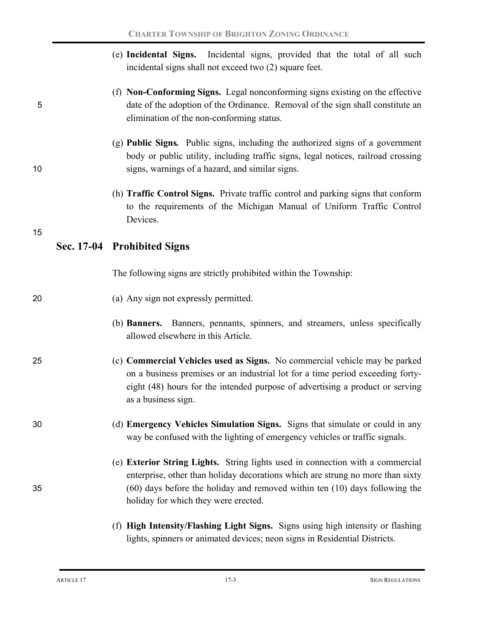|    | (e) Incidental Signs. Incidental signs, provided that the total of all such<br>incidental signs shall not exceed two (2) square feet.                                                                                                                                                   |
|----|-----------------------------------------------------------------------------------------------------------------------------------------------------------------------------------------------------------------------------------------------------------------------------------------|
| 5  | (f) Non-Conforming Signs. Legal nonconforming signs existing on the effective<br>date of the adoption of the Ordinance. Removal of the sign shall constitute an<br>elimination of the non-conforming status.                                                                            |
| 10 | (g) <b>Public Signs.</b> Public signs, including the authorized signs of a government<br>body or public utility, including traffic signs, legal notices, railroad crossing<br>signs, warnings of a hazard, and similar signs.                                                           |
|    | (h) <b>Traffic Control Signs.</b> Private traffic control and parking signs that conform<br>to the requirements of the Michigan Manual of Uniform Traffic Control<br>Devices.                                                                                                           |
| 15 | Sec. 17-04 Prohibited Signs                                                                                                                                                                                                                                                             |
|    | The following signs are strictly prohibited within the Township:                                                                                                                                                                                                                        |
| 20 | (a) Any sign not expressly permitted.                                                                                                                                                                                                                                                   |
|    | (b) <b>Banners.</b> Banners, pennants, spinners, and streamers, unless specifically<br>allowed elsewhere in this Article.                                                                                                                                                               |
| 25 | (c) Commercial Vehicles used as Signs. No commercial vehicle may be parked<br>on a business premises or an industrial lot for a time period exceeding forty-<br>eight (48) hours for the intended purpose of advertising a product or serving<br>as a business sign.                    |
| 30 | (d) Emergency Vehicles Simulation Signs. Signs that simulate or could in any<br>way be confused with the lighting of emergency vehicles or traffic signals.                                                                                                                             |
| 35 | (e) Exterior String Lights. String lights used in connection with a commercial<br>enterprise, other than holiday decorations which are strung no more than sixty<br>(60) days before the holiday and removed within ten (10) days following the<br>holiday for which they were erected. |
|    | (f) High Intensity/Flashing Light Signs. Signs using high intensity or flashing<br>lights, spinners or animated devices; neon signs in Residential Districts.                                                                                                                           |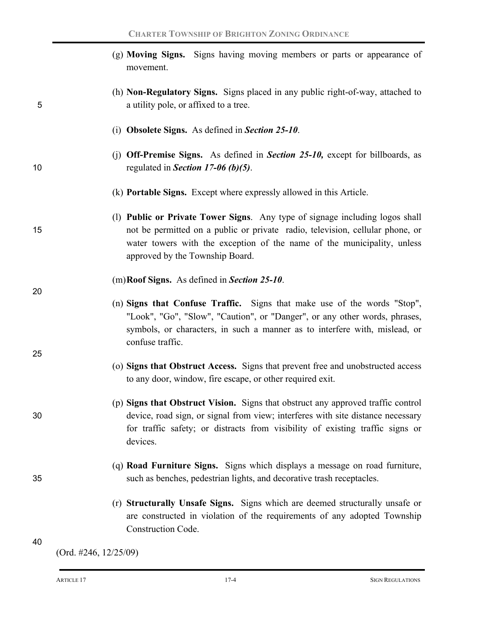|    | (g) Moving Signs. Signs having moving members or parts or appearance of<br>movement.                                                                                                                                                                                        |
|----|-----------------------------------------------------------------------------------------------------------------------------------------------------------------------------------------------------------------------------------------------------------------------------|
| 5  | (h) <b>Non-Regulatory Signs.</b> Signs placed in any public right-of-way, attached to<br>a utility pole, or affixed to a tree.                                                                                                                                              |
|    | (i) Obsolete Signs. As defined in Section $25-10$ .                                                                                                                                                                                                                         |
| 10 | (j) Off-Premise Signs. As defined in Section 25-10, except for billboards, as<br>regulated in Section 17-06 (b)(5).                                                                                                                                                         |
|    | (k) <b>Portable Signs.</b> Except where expressly allowed in this Article.                                                                                                                                                                                                  |
| 15 | (1) Public or Private Tower Signs. Any type of signage including logos shall<br>not be permitted on a public or private radio, television, cellular phone, or<br>water towers with the exception of the name of the municipality, unless<br>approved by the Township Board. |
| 20 | (m) Roof Signs. As defined in Section 25-10.                                                                                                                                                                                                                                |
| 25 | (n) Signs that Confuse Traffic. Signs that make use of the words "Stop",<br>"Look", "Go", "Slow", "Caution", or "Danger", or any other words, phrases,<br>symbols, or characters, in such a manner as to interfere with, mislead, or<br>confuse traffic.                    |
|    | (o) Signs that Obstruct Access. Signs that prevent free and unobstructed access<br>to any door, window, fire escape, or other required exit.                                                                                                                                |
| 30 | (p) Signs that Obstruct Vision. Signs that obstruct any approved traffic control<br>device, road sign, or signal from view; interferes with site distance necessary<br>for traffic safety; or distracts from visibility of existing traffic signs or<br>devices.            |
| 35 | (q) <b>Road Furniture Signs.</b> Signs which displays a message on road furniture,<br>such as benches, pedestrian lights, and decorative trash receptacles.                                                                                                                 |
|    | (r) Structurally Unsafe Signs. Signs which are deemed structurally unsafe or<br>are constructed in violation of the requirements of any adopted Township<br>Construction Code.                                                                                              |
| 40 |                                                                                                                                                                                                                                                                             |

(Ord. #246, 12/25/09)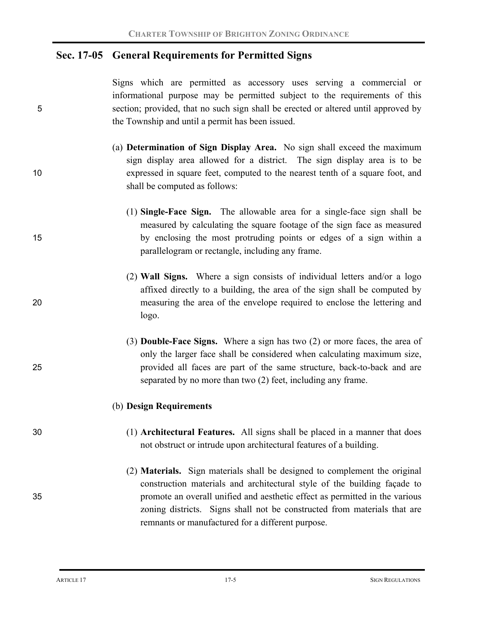### **Sec. 17-05 General Requirements for Permitted Signs**

Signs which are permitted as accessory uses serving a commercial or informational purpose may be permitted subject to the requirements of this 5 section; provided, that no such sign shall be erected or altered until approved by the Township and until a permit has been issued.

- (a) **Determination of Sign Display Area.**No sign shall exceed the maximum sign display area allowed for a district. The sign display area is to be 10 expressed in square feet, computed to the nearest tenth of a square foot, and shall be computed as follows:
- (1) **Single-Face Sign.** The allowable area for a single-face sign shall be measured by calculating the square footage of the sign face as measured 15 by enclosing the most protruding points or edges of a sign within a parallelogram or rectangle, including any frame.
- (2) **Wall Signs.** Where a sign consists of individual letters and/or a logo affixed directly to a building, the area of the sign shall be computed by 20 measuring the area of the envelope required to enclose the lettering and logo.
- (3) **Double-Face Signs.**Where a sign has two (2) or more faces, the area of only the larger face shall be considered when calculating maximum size, 25 provided all faces are part of the same structure, back-to-back and are separated by no more than two (2) feet, including any frame.

#### (b) **Design Requirements**

- 30 (1) **Architectural Features.** All signs shall be placed in a manner that does not obstruct or intrude upon architectural features of a building.
- (2) **Materials.**Sign materials shall be designed to complement the original construction materials and architectural style of the building façade to 35 promote an overall unified and aesthetic effect as permitted in the various zoning districts. Signs shall not be constructed from materials that are remnants or manufactured for a different purpose.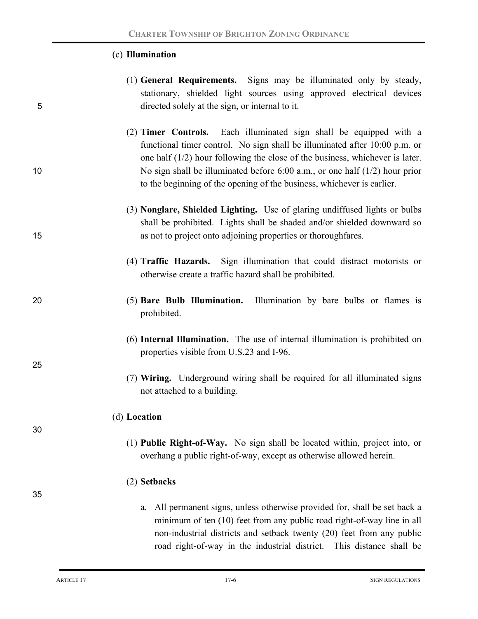### (c) **Illumination**

- (1) **General Requirements.**Signs may be illuminated only by steady, stationary, shielded light sources using approved electrical devices 5 directed solely at the sign, or internal to it.
- (2) **Timer Controls.**Each illuminated sign shall be equipped with a functional timer control. No sign shall be illuminated after 10:00 p.m. or one half (1/2) hour following the close of the business, whichever is later. 10 No sign shall be illuminated before 6:00 a.m., or one half (1/2) hour prior to the beginning of the opening of the business, whichever is earlier.
- (3) **Nonglare, Shielded Lighting.**Use of glaring undiffused lights or bulbs shall be prohibited. Lights shall be shaded and/or shielded downward so 15 as not to project onto adjoining properties or thoroughfares.
	- (4) **Traffic Hazards.**Sign illumination that could distract motorists or otherwise create a traffic hazard shall be prohibited.
- 20 (5) **Bare Bulb Illumination.**Illumination by bare bulbs or flames is prohibited.
	- (6) **Internal Illumination.** The use of internal illumination is prohibited on properties visible from U.S.23 and I-96.
	- (7) **Wiring.** Underground wiring shall be required for all illuminated signs not attached to a building.

#### (d) **Location**

(1) **Public Right-of-Way.**No sign shall be located within, project into, or overhang a public right-of-way, except as otherwise allowed herein.

### (2) **Setbacks**

a. All permanent signs, unless otherwise provided for, shall be set back a minimum of ten (10) feet from any public road right-of-way line in all non-industrial districts and setback twenty (20) feet from any public road right-of-way in the industrial district. This distance shall be

25

30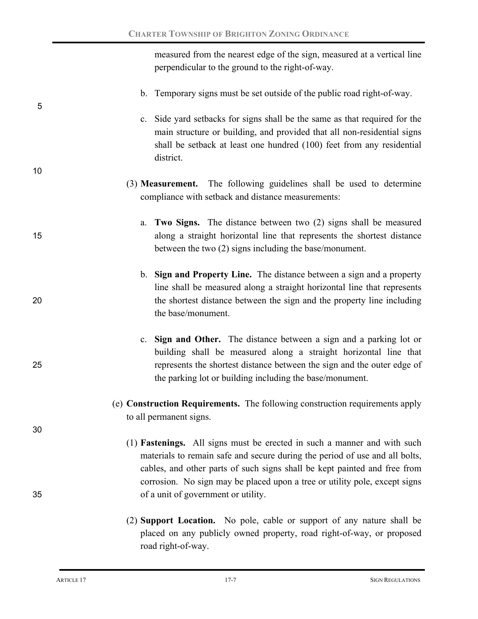measured from the nearest edge of the sign, measured at a vertical line perpendicular to the ground to the right-of-way.

- b. Temporary signs must be set outside of the public road right-of-way.
- c. Side yard setbacks for signs shall be the same as that required for the main structure or building, and provided that all non-residential signs shall be setback at least one hundred (100) feet from any residential district.
- (3) **Measurement.**The following guidelines shall be used to determine compliance with setback and distance measurements:
- a. **Two Signs.**The distance between two (2) signs shall be measured 15 along a straight horizontal line that represents the shortest distance between the two (2) signs including the base/monument.
- b. **Sign and Property Line.**The distance between a sign and a property line shall be measured along a straight horizontal line that represents 20 the shortest distance between the sign and the property line including the base/monument.
- c. **Sign and Other.**The distance between a sign and a parking lot or building shall be measured along a straight horizontal line that 25 represents the shortest distance between the sign and the outer edge of the parking lot or building including the base/monument.
	- (e) **Construction Requirements.** The following construction requirements apply to all permanent signs.
- (1) **Fastenings.**All signs must be erected in such a manner and with such materials to remain safe and secure during the period of use and all bolts, cables, and other parts of such signs shall be kept painted and free from corrosion. No sign may be placed upon a tree or utility pole, except signs 35 of a unit of government or utility.
	- (2) **Support Location.**No pole, cable or support of any nature shall be placed on any publicly owned property, road right-of-way, or proposed road right-of-way.

5

10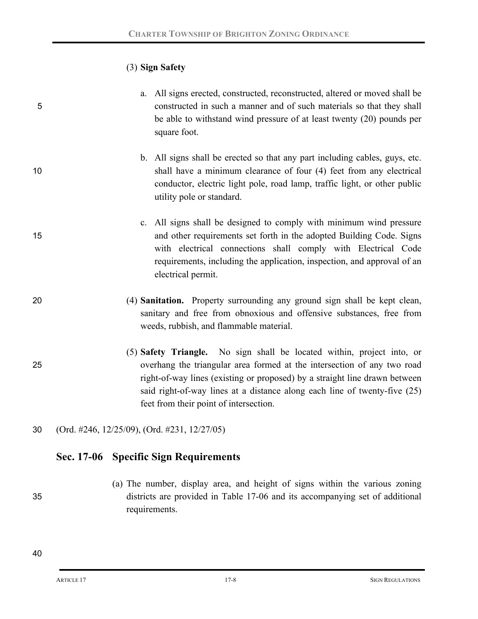### (3) **Sign Safety**

- a. All signs erected, constructed, reconstructed, altered or moved shall be 5 constructed in such a manner and of such materials so that they shall be able to withstand wind pressure of at least twenty (20) pounds per square foot.
- b. All signs shall be erected so that any part including cables, guys, etc. 10 shall have a minimum clearance of four (4) feet from any electrical conductor, electric light pole, road lamp, traffic light, or other public utility pole or standard.
- c. All signs shall be designed to comply with minimum wind pressure 15 and other requirements set forth in the adopted Building Code. Signs with electrical connections shall comply with Electrical Code requirements, including the application, inspection, and approval of an electrical permit.
- 20 (4) **Sanitation.**Property surrounding any ground sign shall be kept clean, sanitary and free from obnoxious and offensive substances, free from weeds, rubbish, and flammable material.
- (5) **Safety Triangle.**No sign shall be located within, project into, or 25 overhang the triangular area formed at the intersection of any two road right-of-way lines (existing or proposed) by a straight line drawn between said right-of-way lines at a distance along each line of twenty-five (25) feet from their point of intersection.
- 30 (Ord. #246, 12/25/09), (Ord. #231, 12/27/05)

### **Sec. 17-06 Specific Sign Requirements**

(a) The number, display area, and height of signs within the various zoning 35 districts are provided in Table 17-06 and its accompanying set of additional requirements.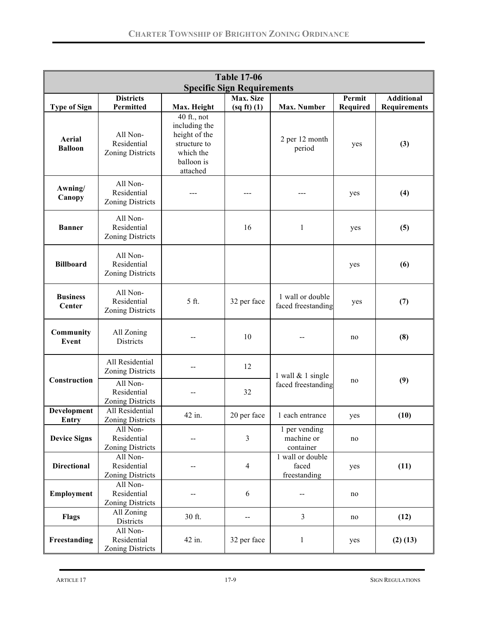| <b>Table 17-06</b>                |                                                                                           |                                                                                                        |                 |                                           |                 |                     |
|-----------------------------------|-------------------------------------------------------------------------------------------|--------------------------------------------------------------------------------------------------------|-----------------|-------------------------------------------|-----------------|---------------------|
| <b>Specific Sign Requirements</b> |                                                                                           |                                                                                                        |                 |                                           |                 |                     |
|                                   | <b>Districts</b>                                                                          |                                                                                                        | Max. Size       |                                           | Permit          | <b>Additional</b>   |
| <b>Type of Sign</b>               | Permitted                                                                                 | Max. Height                                                                                            | $(sq ft)$ $(1)$ | Max. Number                               | <b>Required</b> | <b>Requirements</b> |
| Aerial<br><b>Balloon</b>          | All Non-<br>Residential<br><b>Zoning Districts</b>                                        | $40$ ft., not<br>including the<br>height of the<br>structure to<br>which the<br>balloon is<br>attached |                 | 2 per 12 month<br>period                  | yes             | (3)                 |
| Awning/<br>Canopy                 | All Non-<br>Residential<br><b>Zoning Districts</b>                                        |                                                                                                        |                 | ---                                       | yes             | (4)                 |
| <b>Banner</b>                     | All Non-<br>Residential<br><b>Zoning Districts</b>                                        |                                                                                                        | 16              | $\mathbf{1}$                              | yes             | (5)                 |
| <b>Billboard</b>                  | All Non-<br>Residential<br><b>Zoning Districts</b>                                        |                                                                                                        |                 |                                           | yes             | (6)                 |
| <b>Business</b><br>Center         | All Non-<br>Residential<br><b>Zoning Districts</b>                                        | 5 ft.                                                                                                  | 32 per face     | 1 wall or double<br>faced freestanding    | yes             | (7)                 |
| Community<br>Event                | All Zoning<br>Districts                                                                   |                                                                                                        | 10              |                                           | no              | (8)                 |
| Construction                      | All Residential<br><b>Zoning Districts</b><br>All Non-<br>Residential<br>Zoning Districts |                                                                                                        | 12<br>32        | 1 wall & 1 single<br>faced freestanding   | no              | (9)                 |
| Development                       | All Residential                                                                           | 42 in.                                                                                                 | 20 per face     | 1 each entrance                           | yes             | (10)                |
| <b>Entry</b>                      | <b>Zoning Districts</b>                                                                   |                                                                                                        |                 |                                           |                 |                     |
| <b>Device Signs</b>               | All Non-<br>Residential<br><b>Zoning Districts</b>                                        |                                                                                                        | $\overline{3}$  | 1 per vending<br>machine or<br>container  | no              |                     |
| <b>Directional</b>                | All Non-<br>Residential<br>Zoning Districts                                               |                                                                                                        | 4               | 1 wall or double<br>faced<br>freestanding | yes             | (11)                |
| Employment                        | All Non-<br>Residential<br><b>Zoning Districts</b>                                        |                                                                                                        | 6               | $\overline{\phantom{a}}$                  | no              |                     |
| Flags                             | All Zoning<br>Districts                                                                   | 30 ft.                                                                                                 | $-$             | $\overline{3}$                            | no              | (12)                |
| Freestanding                      | All Non-<br>Residential<br><b>Zoning Districts</b>                                        | 42 in.                                                                                                 | 32 per face     | $\mathbf{1}$                              | yes             | $(2)$ $(13)$        |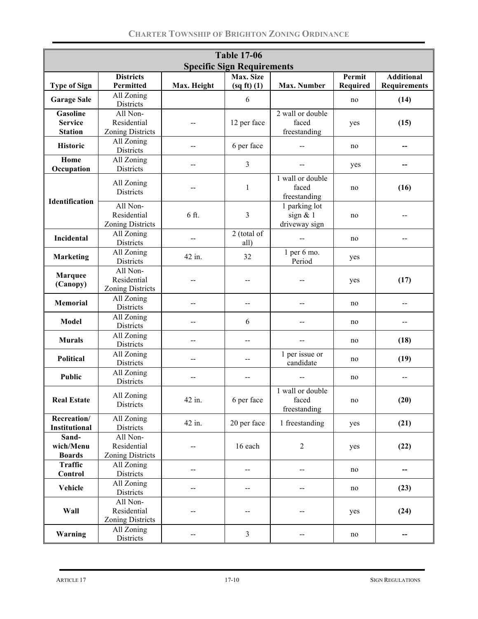| <b>Table 17-06</b>                  |                                                    |                |                                   |                                               |                           |                                          |
|-------------------------------------|----------------------------------------------------|----------------|-----------------------------------|-----------------------------------------------|---------------------------|------------------------------------------|
|                                     |                                                    |                | <b>Specific Sign Requirements</b> |                                               |                           |                                          |
| <b>Type of Sign</b>                 | <b>Districts</b><br>Permitted                      | Max. Height    | Max. Size<br>$(sq ft)$ $(1)$      | <b>Max. Number</b>                            | Permit<br><b>Required</b> | <b>Additional</b><br><b>Requirements</b> |
| <b>Garage Sale</b>                  | All Zoning<br>Districts                            |                | 6                                 |                                               | no                        | (14)                                     |
| <b>Gasoline</b>                     | All Non-                                           |                |                                   | 2 wall or double                              |                           |                                          |
| <b>Service</b>                      | Residential                                        |                | 12 per face                       | faced                                         | yes                       | (15)                                     |
| <b>Station</b>                      | <b>Zoning Districts</b>                            |                |                                   | freestanding                                  |                           |                                          |
| <b>Historic</b>                     | All Zoning<br>Districts                            |                | 6 per face                        |                                               | no                        |                                          |
| Home<br>Occupation                  | $\overline{All}$ Zoning<br>Districts               |                | 3                                 |                                               | yes                       |                                          |
|                                     | All Zoning<br>Districts                            | $-$            | 1                                 | 1 wall or double<br>faced<br>freestanding     | no                        | (16)                                     |
| Identification                      | All Non-<br>Residential<br><b>Zoning Districts</b> | 6 ft.          | 3                                 | 1 parking lot<br>sign $& 1$<br>driveway sign  | no                        |                                          |
| Incidental                          | All Zoning<br>Districts                            | $-$            | 2 (total of<br>all)               | $-$                                           | no                        | --                                       |
| <b>Marketing</b>                    | All Zoning<br>Districts                            | 42 in.         | 32                                | $1$ per $6$ mo.<br>Period                     | yes                       |                                          |
| <b>Marquee</b><br>(Canopy)          | All Non-<br>Residential<br><b>Zoning Districts</b> | --             |                                   | --                                            | yes                       | (17)                                     |
| <b>Memorial</b>                     | All Zoning<br>Districts                            | $\overline{a}$ | $-$                               | --                                            | no                        |                                          |
| Model                               | All Zoning<br>Districts                            | $-$            | 6                                 | --                                            | no                        | --                                       |
| <b>Murals</b>                       | All Zoning<br>Districts                            | $-$            | --                                | $\mathord{\hspace{1pt}\text{--}\hspace{1pt}}$ | no                        | (18)                                     |
| <b>Political</b>                    | All Zoning<br>Districts                            | --             | --                                | 1 per issue or<br>candidate                   | no                        | (19)                                     |
| Public                              | All Zoning<br>Districts                            | $-$            | $-$                               |                                               | no                        | $-$                                      |
| <b>Real Estate</b>                  | All Zoning<br>Districts                            | 42 in.         | 6 per face                        | 1 wall or double<br>faced<br>freestanding     | no                        | (20)                                     |
| Recreation/<br><b>Institutional</b> | All Zoning<br>Districts                            | 42 in.         | 20 per face                       | 1 freestanding                                | yes                       | (21)                                     |
| Sand-<br>wich/Menu<br><b>Boards</b> | All Non-<br>Residential<br><b>Zoning Districts</b> |                | 16 each                           | $\overline{2}$                                | yes                       | (22)                                     |
| <b>Traffic</b><br>Control           | All Zoning<br>Districts                            |                | --                                | --                                            | no                        |                                          |
| Vehicle                             | All Zoning<br>Districts                            | --             | $\overline{\phantom{a}}$          | $\overline{\phantom{a}}$                      | no                        | (23)                                     |
| Wall                                | All Non-<br>Residential<br><b>Zoning Districts</b> | --             | --                                | --                                            | yes                       | (24)                                     |
| Warning                             | All Zoning<br>Districts                            | --             | $\overline{3}$                    | --                                            | no                        | --                                       |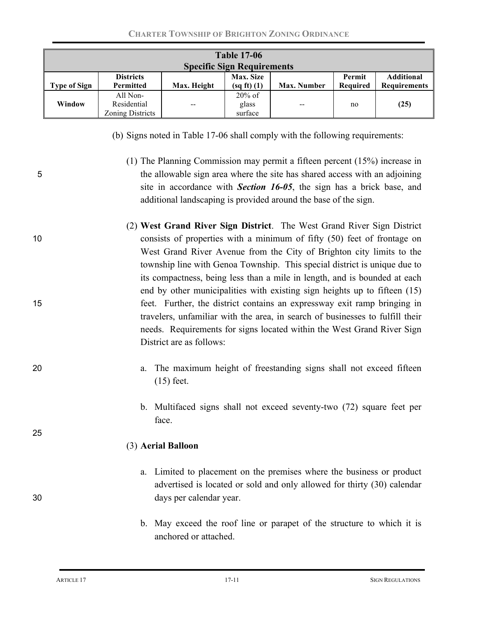| <b>Table 17-06</b>  |                                             |             |                                   |                    |                    |                                          |
|---------------------|---------------------------------------------|-------------|-----------------------------------|--------------------|--------------------|------------------------------------------|
|                     |                                             |             | <b>Specific Sign Requirements</b> |                    |                    |                                          |
| <b>Type of Sign</b> | <b>Districts</b><br>Permitted               | Max. Height | <b>Max. Size</b><br>(sq ft) (1)   | <b>Max. Number</b> | Permit<br>Required | <b>Additional</b><br><b>Requirements</b> |
| Window              | All Non-<br>Residential<br>Zoning Districts | $-$         | $20\%$ of<br>glass<br>surface     | $- -$              | no                 | (25)                                     |

- (b) Signs noted in Table 17-06 shall comply with the following requirements:
- (1) The Planning Commission may permit a fifteen percent (15%) increase in 5 the allowable sign area where the site has shared access with an adjoining site in accordance with *Section 16-05*, the sign has a brick base, and additional landscaping is provided around the base of the sign.
- (2) **West Grand River Sign District**. The West Grand River Sign District 10 consists of properties with a minimum of fifty (50) feet of frontage on West Grand River Avenue from the City of Brighton city limits to the township line with Genoa Township. This special district is unique due to its compactness, being less than a mile in length, and is bounded at each end by other municipalities with existing sign heights up to fifteen (15) 15 feet. Further, the district contains an expressway exit ramp bringing in travelers, unfamiliar with the area, in search of businesses to fulfill their needs. Requirements for signs located within the West Grand River Sign District are as follows:
- 20 a. The maximum height of freestanding signs shall not exceed fifteen (15) feet.
	- b. Multifaced signs shall not exceed seventy-two (72) square feet per face.

#### (3) **Aerial Balloon**

- a. Limited to placement on the premises where the business or product advertised is located or sold and only allowed for thirty (30) calendar 30 days per calendar year.
	- b. May exceed the roof line or parapet of the structure to which it is anchored or attached.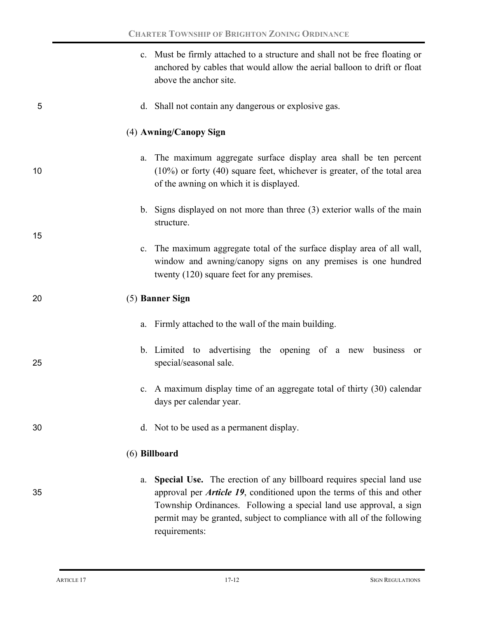|    | c. Must be firmly attached to a structure and shall not be free floating or<br>anchored by cables that would allow the aerial balloon to drift or float<br>above the anchor site.                                                                                                                                            |
|----|------------------------------------------------------------------------------------------------------------------------------------------------------------------------------------------------------------------------------------------------------------------------------------------------------------------------------|
| 5  | d. Shall not contain any dangerous or explosive gas.                                                                                                                                                                                                                                                                         |
|    | (4) Awning/Canopy Sign                                                                                                                                                                                                                                                                                                       |
| 10 | The maximum aggregate surface display area shall be ten percent<br>a.<br>$(10\%)$ or forty $(40)$ square feet, whichever is greater, of the total area<br>of the awning on which it is displayed.                                                                                                                            |
|    | b. Signs displayed on not more than three (3) exterior walls of the main<br>structure.                                                                                                                                                                                                                                       |
| 15 | c. The maximum aggregate total of the surface display area of all wall,<br>window and awning/canopy signs on any premises is one hundred<br>twenty (120) square feet for any premises.                                                                                                                                       |
| 20 | (5) Banner Sign                                                                                                                                                                                                                                                                                                              |
|    | a. Firmly attached to the wall of the main building.                                                                                                                                                                                                                                                                         |
| 25 | b. Limited to advertising the opening of a new business<br><sub>or</sub><br>special/seasonal sale.                                                                                                                                                                                                                           |
|    | c. A maximum display time of an aggregate total of thirty (30) calendar<br>days per calendar year.                                                                                                                                                                                                                           |
| 30 | d. Not to be used as a permanent display.                                                                                                                                                                                                                                                                                    |
|    | (6) Billboard                                                                                                                                                                                                                                                                                                                |
| 35 | Special Use. The erection of any billboard requires special land use<br>a.<br>approval per <i>Article 19</i> , conditioned upon the terms of this and other<br>Township Ordinances. Following a special land use approval, a sign<br>permit may be granted, subject to compliance with all of the following<br>requirements: |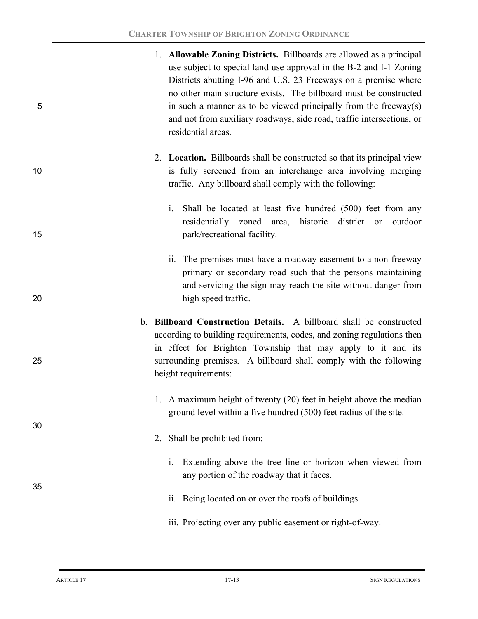| 5       | 1. Allowable Zoning Districts. Billboards are allowed as a principal<br>use subject to special land use approval in the B-2 and I-1 Zoning<br>Districts abutting I-96 and U.S. 23 Freeways on a premise where<br>no other main structure exists. The billboard must be constructed<br>in such a manner as to be viewed principally from the freeway(s)<br>and not from auxiliary roadways, side road, traffic intersections, or<br>residential areas. |
|---------|-------------------------------------------------------------------------------------------------------------------------------------------------------------------------------------------------------------------------------------------------------------------------------------------------------------------------------------------------------------------------------------------------------------------------------------------------------|
| 10      | 2. Location. Billboards shall be constructed so that its principal view<br>is fully screened from an interchange area involving merging<br>traffic. Any billboard shall comply with the following:                                                                                                                                                                                                                                                    |
| 15      | Shall be located at least five hundred (500) feet from any<br>1.<br>residentially zoned area, historic district or<br>outdoor<br>park/recreational facility.                                                                                                                                                                                                                                                                                          |
| 20      | ii. The premises must have a roadway easement to a non-freeway<br>primary or secondary road such that the persons maintaining<br>and servicing the sign may reach the site without danger from<br>high speed traffic.                                                                                                                                                                                                                                 |
| $b_{-}$ | <b>Billboard Construction Details.</b> A billboard shall be constructed                                                                                                                                                                                                                                                                                                                                                                               |
| 25      | according to building requirements, codes, and zoning regulations then<br>in effect for Brighton Township that may apply to it and its<br>surrounding premises. A billboard shall comply with the following<br>height requirements:                                                                                                                                                                                                                   |
| 30      | 1. A maximum height of twenty (20) feet in height above the median<br>ground level within a five hundred (500) feet radius of the site.                                                                                                                                                                                                                                                                                                               |
|         | Shall be prohibited from:<br>2.                                                                                                                                                                                                                                                                                                                                                                                                                       |
| 35      | Extending above the tree line or horizon when viewed from<br>1.<br>any portion of the roadway that it faces.                                                                                                                                                                                                                                                                                                                                          |
|         | ii. Being located on or over the roofs of buildings.                                                                                                                                                                                                                                                                                                                                                                                                  |
|         | iii. Projecting over any public easement or right-of-way.                                                                                                                                                                                                                                                                                                                                                                                             |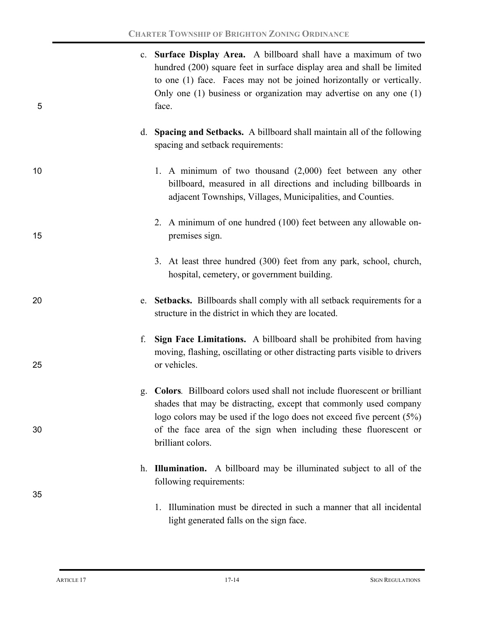| 5  | c. Surface Display Area. A billboard shall have a maximum of two<br>hundred (200) square feet in surface display area and shall be limited<br>to one (1) face. Faces may not be joined horizontally or vertically.<br>Only one $(1)$ business or organization may advertise on any one $(1)$<br>face.                    |  |
|----|--------------------------------------------------------------------------------------------------------------------------------------------------------------------------------------------------------------------------------------------------------------------------------------------------------------------------|--|
|    | d. Spacing and Setbacks. A billboard shall maintain all of the following<br>spacing and setback requirements:                                                                                                                                                                                                            |  |
| 10 | 1. A minimum of two thousand $(2,000)$ feet between any other<br>billboard, measured in all directions and including billboards in<br>adjacent Townships, Villages, Municipalities, and Counties.                                                                                                                        |  |
| 15 | 2. A minimum of one hundred (100) feet between any allowable on-<br>premises sign.                                                                                                                                                                                                                                       |  |
|    | 3. At least three hundred (300) feet from any park, school, church,<br>hospital, cemetery, or government building.                                                                                                                                                                                                       |  |
| 20 | e. Setbacks. Billboards shall comply with all setback requirements for a<br>structure in the district in which they are located.                                                                                                                                                                                         |  |
| 25 | Sign Face Limitations. A billboard shall be prohibited from having<br>moving, flashing, oscillating or other distracting parts visible to drivers<br>or vehicles.                                                                                                                                                        |  |
| 30 | <b>Colors.</b> Billboard colors used shall not include fluorescent or brilliant<br>shades that may be distracting, except that commonly used company<br>logo colors may be used if the logo does not exceed five percent $(5%)$<br>of the face area of the sign when including these fluorescent or<br>brilliant colors. |  |
| 35 | <b>Illumination.</b> A billboard may be illuminated subject to all of the<br>following requirements:                                                                                                                                                                                                                     |  |
|    | Illumination must be directed in such a manner that all incidental<br>1.<br>light generated falls on the sign face.                                                                                                                                                                                                      |  |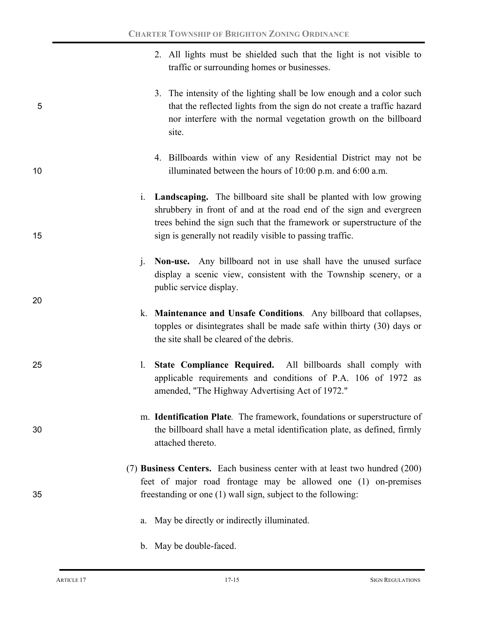- 2. All lights must be shielded such that the light is not visible to traffic or surrounding homes or businesses. 3. The intensity of the lighting shall be low enough and a color such 5 that the reflected lights from the sign do not create a traffic hazard nor interfere with the normal vegetation growth on the billboard site. 4. Billboards within view of any Residential District may not be 10 illuminated between the hours of 10:00 p.m. and 6:00 a.m.
- i. **Landscaping.** The billboard site shall be planted with low growing shrubbery in front of and at the road end of the sign and evergreen trees behind the sign such that the framework or superstructure of the 15 sign is generally not readily visible to passing traffic.
	- j. **Non-use.** Any billboard not in use shall have the unused surface display a scenic view, consistent with the Township scenery, or a public service display.
	- k. **Maintenance and Unsafe Conditions***.* Any billboard that collapses, topples or disintegrates shall be made safe within thirty (30) days or the site shall be cleared of the debris.
- 25 l. **State Compliance Required.** All billboards shall comply with applicable requirements and conditions of P.A. 106 of 1972 as amended, "The Highway Advertising Act of 1972."
- m. **Identification Plate***.* The framework, foundations or superstructure of 30 the billboard shall have a metal identification plate, as defined, firmly attached thereto.
- (7) **Business Centers.** Each business center with at least two hundred (200) feet of major road frontage may be allowed one (1) on-premises 35 freestanding or one (1) wall sign, subject to the following:
	- a. May be directly or indirectly illuminated.
	- b. May be double-faced.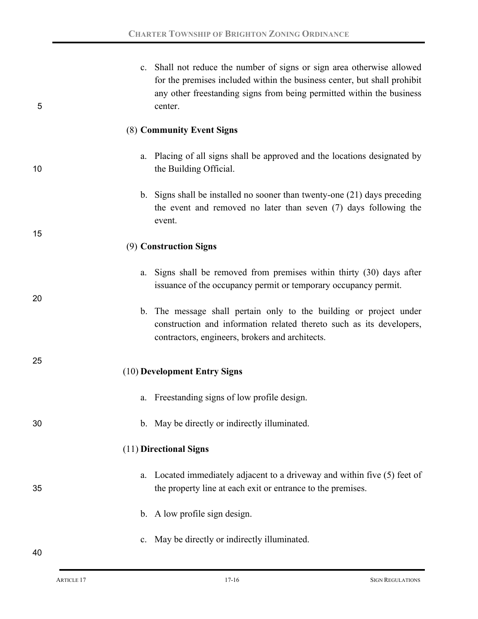| 5  | c. Shall not reduce the number of signs or sign area otherwise allowed<br>for the premises included within the business center, but shall prohibit<br>any other freestanding signs from being permitted within the business<br>center. |
|----|----------------------------------------------------------------------------------------------------------------------------------------------------------------------------------------------------------------------------------------|
|    | (8) Community Event Signs                                                                                                                                                                                                              |
| 10 | a. Placing of all signs shall be approved and the locations designated by<br>the Building Official.                                                                                                                                    |
|    | b. Signs shall be installed no sooner than twenty-one (21) days preceding<br>the event and removed no later than seven (7) days following the<br>event.                                                                                |
| 15 | (9) Construction Signs                                                                                                                                                                                                                 |
| 20 | a. Signs shall be removed from premises within thirty (30) days after<br>issuance of the occupancy permit or temporary occupancy permit.                                                                                               |
|    | b. The message shall pertain only to the building or project under<br>construction and information related thereto such as its developers,<br>contractors, engineers, brokers and architects.                                          |
| 25 | (10) Development Entry Signs                                                                                                                                                                                                           |
|    | Freestanding signs of low profile design.<br>a.                                                                                                                                                                                        |
| 30 | b. May be directly or indirectly illuminated.                                                                                                                                                                                          |
|    | (11) Directional Signs                                                                                                                                                                                                                 |
| 35 | Located immediately adjacent to a driveway and within five (5) feet of<br>a.<br>the property line at each exit or entrance to the premises.                                                                                            |
|    | b. A low profile sign design.                                                                                                                                                                                                          |
| 40 | May be directly or indirectly illuminated.<br>$c_{-}$                                                                                                                                                                                  |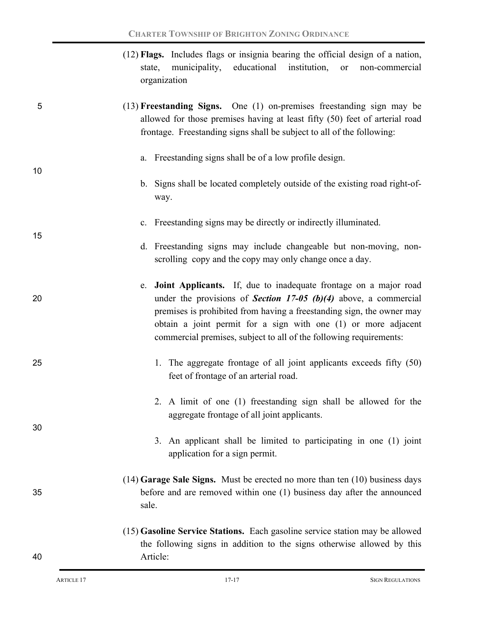|    | (12) Flags. Includes flags or insignia bearing the official design of a nation,<br>municipality,<br>educational<br>institution,<br>state,<br><b>or</b><br>non-commercial<br>organization                                                                                                                                                                        |
|----|-----------------------------------------------------------------------------------------------------------------------------------------------------------------------------------------------------------------------------------------------------------------------------------------------------------------------------------------------------------------|
| 5  | $(13)$ <b>Freestanding Signs.</b> One $(1)$ on-premises freestanding sign may be<br>allowed for those premises having at least fifty (50) feet of arterial road<br>frontage. Freestanding signs shall be subject to all of the following:                                                                                                                       |
| 10 | a. Freestanding signs shall be of a low profile design.                                                                                                                                                                                                                                                                                                         |
|    | b. Signs shall be located completely outside of the existing road right-of-<br>way.                                                                                                                                                                                                                                                                             |
| 15 | c. Freestanding signs may be directly or indirectly illuminated.                                                                                                                                                                                                                                                                                                |
|    | d. Freestanding signs may include changeable but non-moving, non-<br>scrolling copy and the copy may only change once a day.                                                                                                                                                                                                                                    |
| 20 | e. Joint Applicants. If, due to inadequate frontage on a major road<br>under the provisions of <b>Section 17-05 (b)(4)</b> above, a commercial<br>premises is prohibited from having a freestanding sign, the owner may<br>obtain a joint permit for a sign with one (1) or more adjacent<br>commercial premises, subject to all of the following requirements: |
| 25 | 1. The aggregate frontage of all joint applicants exceeds fifty (50)<br>feet of frontage of an arterial road.                                                                                                                                                                                                                                                   |
| 30 | 2. A limit of one (1) freestanding sign shall be allowed for the<br>aggregate frontage of all joint applicants.                                                                                                                                                                                                                                                 |
|    | 3. An applicant shall be limited to participating in one (1) joint<br>application for a sign permit.                                                                                                                                                                                                                                                            |
| 35 | $(14)$ Garage Sale Signs. Must be erected no more than ten $(10)$ business days<br>before and are removed within one (1) business day after the announced<br>sale.                                                                                                                                                                                              |
| 40 | (15) Gasoline Service Stations. Each gasoline service station may be allowed<br>the following signs in addition to the signs otherwise allowed by this<br>Article:                                                                                                                                                                                              |
|    |                                                                                                                                                                                                                                                                                                                                                                 |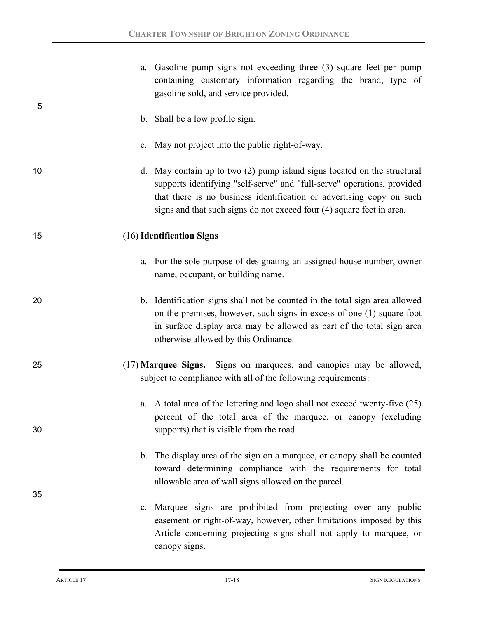|    | a. Gasoline pump signs not exceeding three (3) square feet per pump<br>containing customary information regarding the brand, type of<br>gasoline sold, and service provided.                                                                                                                         |
|----|------------------------------------------------------------------------------------------------------------------------------------------------------------------------------------------------------------------------------------------------------------------------------------------------------|
| 5  | b. Shall be a low profile sign.                                                                                                                                                                                                                                                                      |
|    | c. May not project into the public right-of-way.                                                                                                                                                                                                                                                     |
| 10 | d. May contain up to two (2) pump island signs located on the structural<br>supports identifying "self-serve" and "full-serve" operations, provided<br>that there is no business identification or advertising copy on such<br>signs and that such signs do not exceed four (4) square feet in area. |
| 15 | (16) Identification Signs                                                                                                                                                                                                                                                                            |
|    | a. For the sole purpose of designating an assigned house number, owner<br>name, occupant, or building name.                                                                                                                                                                                          |
| 20 | b. Identification signs shall not be counted in the total sign area allowed<br>on the premises, however, such signs in excess of one (1) square foot<br>in surface display area may be allowed as part of the total sign area<br>otherwise allowed by this Ordinance.                                |
| 25 | (17) Marquee Signs. Signs on marquees, and canopies may be allowed,<br>subject to compliance with all of the following requirements:                                                                                                                                                                 |
| 30 | a. A total area of the lettering and logo shall not exceed twenty-five (25)<br>percent of the total area of the marquee, or canopy (excluding<br>supports) that is visible from the road.                                                                                                            |
| 35 | b. The display area of the sign on a marquee, or canopy shall be counted<br>toward determining compliance with the requirements for total<br>allowable area of wall signs allowed on the parcel.                                                                                                     |
|    | c. Marquee signs are prohibited from projecting over any public<br>easement or right-of-way, however, other limitations imposed by this<br>Article concerning projecting signs shall not apply to marquee, or<br>canopy signs.                                                                       |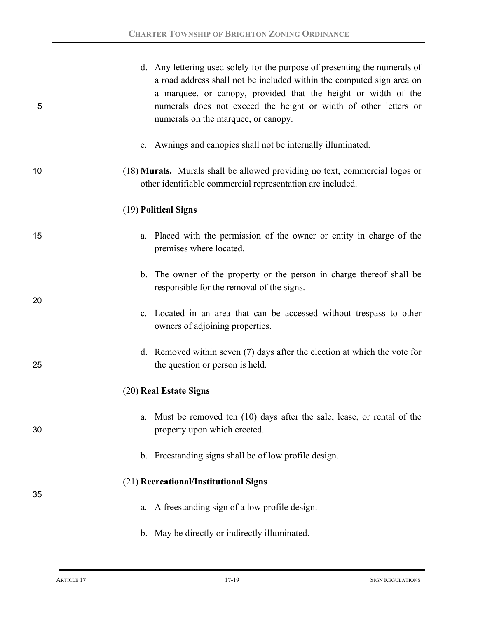| 5  | d. Any lettering used solely for the purpose of presenting the numerals of<br>a road address shall not be included within the computed sign area on<br>a marquee, or canopy, provided that the height or width of the<br>numerals does not exceed the height or width of other letters or<br>numerals on the marquee, or canopy. |
|----|----------------------------------------------------------------------------------------------------------------------------------------------------------------------------------------------------------------------------------------------------------------------------------------------------------------------------------|
|    | e. Awnings and canopies shall not be internally illuminated.                                                                                                                                                                                                                                                                     |
| 10 | (18) Murals. Murals shall be allowed providing no text, commercial logos or<br>other identifiable commercial representation are included.                                                                                                                                                                                        |
|    | (19) Political Signs                                                                                                                                                                                                                                                                                                             |
| 15 | a. Placed with the permission of the owner or entity in charge of the<br>premises where located.                                                                                                                                                                                                                                 |
| 20 | b. The owner of the property or the person in charge thereof shall be<br>responsible for the removal of the signs.                                                                                                                                                                                                               |
|    | c. Located in an area that can be accessed without trespass to other<br>owners of adjoining properties.                                                                                                                                                                                                                          |
| 25 | d. Removed within seven $(7)$ days after the election at which the vote for<br>the question or person is held.                                                                                                                                                                                                                   |
|    | (20) Real Estate Signs                                                                                                                                                                                                                                                                                                           |
| 30 | Must be removed ten (10) days after the sale, lease, or rental of the<br>a.<br>property upon which erected.                                                                                                                                                                                                                      |
|    | b. Freestanding signs shall be of low profile design.                                                                                                                                                                                                                                                                            |
| 35 | (21) Recreational/Institutional Signs                                                                                                                                                                                                                                                                                            |
|    | a. A freestanding sign of a low profile design.                                                                                                                                                                                                                                                                                  |
|    | b. May be directly or indirectly illuminated.                                                                                                                                                                                                                                                                                    |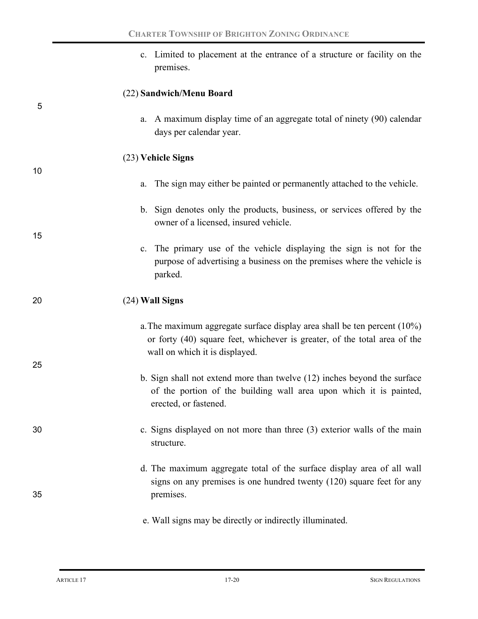|    | c. Limited to placement at the entrance of a structure or facility on the<br>premises.                                                                                                     |
|----|--------------------------------------------------------------------------------------------------------------------------------------------------------------------------------------------|
| 5  | (22) Sandwich/Menu Board                                                                                                                                                                   |
|    | a. A maximum display time of an aggregate total of ninety (90) calendar<br>days per calendar year.                                                                                         |
|    | (23) Vehicle Signs                                                                                                                                                                         |
| 10 | The sign may either be painted or permanently attached to the vehicle.<br>a.                                                                                                               |
| 15 | b. Sign denotes only the products, business, or services offered by the<br>owner of a licensed, insured vehicle.                                                                           |
|    | c. The primary use of the vehicle displaying the sign is not for the<br>purpose of advertising a business on the premises where the vehicle is<br>parked.                                  |
| 20 | (24) Wall Signs                                                                                                                                                                            |
|    | a. The maximum aggregate surface display area shall be ten percent $(10\%)$<br>or forty (40) square feet, whichever is greater, of the total area of the<br>wall on which it is displayed. |
| 25 | b. Sign shall not extend more than twelve (12) inches beyond the surface<br>of the portion of the building wall area upon which it is painted,<br>erected, or fastened.                    |
| 30 | c. Signs displayed on not more than three (3) exterior walls of the main<br>structure.                                                                                                     |
|    | d. The maximum aggregate total of the surface display area of all wall<br>signs on any premises is one hundred twenty $(120)$ square feet for any                                          |
| 35 | premises.                                                                                                                                                                                  |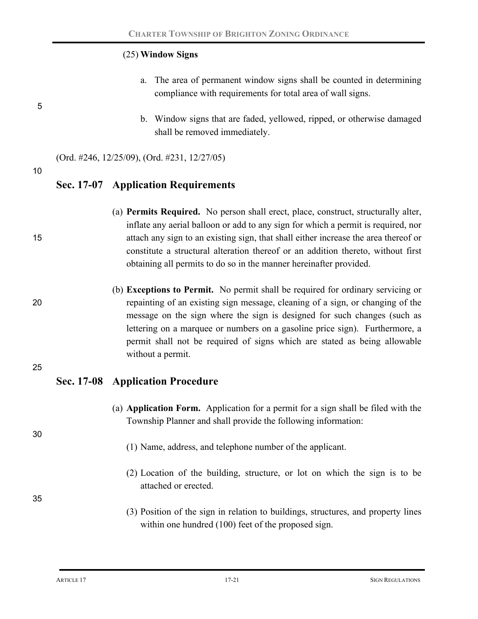### (25) **Window Signs**

- a. The area of permanent window signs shall be counted in determining compliance with requirements for total area of wall signs.
- b. Window signs that are faded, yellowed, ripped, or otherwise damaged shall be removed immediately.

(Ord. #246, 12/25/09), (Ord. #231, 12/27/05)

10

5

### **Sec. 17-07 Application Requirements**

- (a) **Permits Required.** No person shall erect, place, construct, structurally alter, inflate any aerial balloon or add to any sign for which a permit is required, nor 15 attach any sign to an existing sign, that shall either increase the area thereof or constitute a structural alteration thereof or an addition thereto, without first obtaining all permits to do so in the manner hereinafter provided.
- (b) **Exceptions to Permit.**No permit shall be required for ordinary servicing or 20 repainting of an existing sign message, cleaning of a sign, or changing of the message on the sign where the sign is designed for such changes (such as lettering on a marquee or numbers on a gasoline price sign). Furthermore, a permit shall not be required of signs which are stated as being allowable without a permit.

25

### **Sec. 17-08 Application Procedure**

- (a) **Application Form.** Application for a permit for a sign shall be filed with the Township Planner and shall provide the following information:
	- (1) Name, address, and telephone number of the applicant.
	- (2) Location of the building, structure, or lot on which the sign is to be attached or erected.

35

30

(3) Position of the sign in relation to buildings, structures, and property lines within one hundred (100) feet of the proposed sign.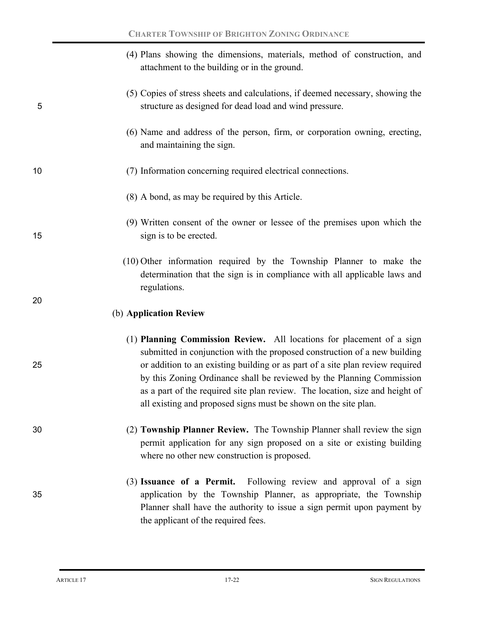|    | (4) Plans showing the dimensions, materials, method of construction, and<br>attachment to the building or in the ground.                                                                                                                                                                                                                                                                                                                                        |
|----|-----------------------------------------------------------------------------------------------------------------------------------------------------------------------------------------------------------------------------------------------------------------------------------------------------------------------------------------------------------------------------------------------------------------------------------------------------------------|
| 5  | (5) Copies of stress sheets and calculations, if deemed necessary, showing the<br>structure as designed for dead load and wind pressure.                                                                                                                                                                                                                                                                                                                        |
|    | (6) Name and address of the person, firm, or corporation owning, erecting,<br>and maintaining the sign.                                                                                                                                                                                                                                                                                                                                                         |
| 10 | (7) Information concerning required electrical connections.                                                                                                                                                                                                                                                                                                                                                                                                     |
|    | (8) A bond, as may be required by this Article.                                                                                                                                                                                                                                                                                                                                                                                                                 |
| 15 | (9) Written consent of the owner or lessee of the premises upon which the<br>sign is to be erected.                                                                                                                                                                                                                                                                                                                                                             |
|    | (10) Other information required by the Township Planner to make the<br>determination that the sign is in compliance with all applicable laws and<br>regulations.                                                                                                                                                                                                                                                                                                |
| 20 | (b) Application Review                                                                                                                                                                                                                                                                                                                                                                                                                                          |
| 25 | (1) Planning Commission Review. All locations for placement of a sign<br>submitted in conjunction with the proposed construction of a new building<br>or addition to an existing building or as part of a site plan review required<br>by this Zoning Ordinance shall be reviewed by the Planning Commission<br>as a part of the required site plan review. The location, size and height of<br>all existing and proposed signs must be shown on the site plan. |
| 30 | (2) Township Planner Review. The Township Planner shall review the sign<br>permit application for any sign proposed on a site or existing building<br>where no other new construction is proposed.                                                                                                                                                                                                                                                              |
| 35 | Following review and approval of a sign<br>(3) Issuance of a Permit.<br>application by the Township Planner, as appropriate, the Township<br>Planner shall have the authority to issue a sign permit upon payment by<br>the applicant of the required fees.                                                                                                                                                                                                     |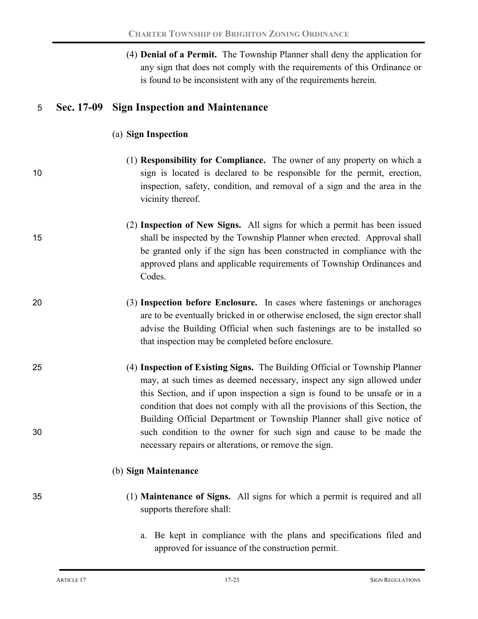|    |            | (4) <b>Denial of a Permit.</b> The Township Planner shall deny the application for<br>any sign that does not comply with the requirements of this Ordinance or<br>is found to be inconsistent with any of the requirements herein.                                                                                 |
|----|------------|--------------------------------------------------------------------------------------------------------------------------------------------------------------------------------------------------------------------------------------------------------------------------------------------------------------------|
| 5  | Sec. 17-09 | <b>Sign Inspection and Maintenance</b>                                                                                                                                                                                                                                                                             |
|    |            | (a) Sign Inspection                                                                                                                                                                                                                                                                                                |
| 10 |            | (1) <b>Responsibility for Compliance.</b> The owner of any property on which a<br>sign is located is declared to be responsible for the permit, erection,<br>inspection, safety, condition, and removal of a sign and the area in the<br>vicinity thereof.                                                         |
| 15 |            | (2) Inspection of New Signs. All signs for which a permit has been issued<br>shall be inspected by the Township Planner when erected. Approval shall<br>be granted only if the sign has been constructed in compliance with the<br>approved plans and applicable requirements of Township Ordinances and<br>Codes. |
| 20 |            | (3) Inspection before Enclosure. In cases where fastenings or anchorages<br>are to be eventually bricked in or otherwise enclosed, the sign erector shall<br>advise the Building Official when such fastenings are to be installed so<br>that inspection may be completed before enclosure.                        |
| 25 |            | (4) Inspection of Existing Signs. The Building Official or Township Planner<br>may, at such times as deemed necessary, inspect any sign allowed under<br>this Section, and if upon inspection a sign is found to be unsafe or in a<br>condition that does not comply with all the provisions of this Section, the  |
| 30 |            | Building Official Department or Township Planner shall give notice of<br>such condition to the owner for such sign and cause to be made the<br>necessary repairs or alterations, or remove the sign.                                                                                                               |
|    |            | (b) Sign Maintenance                                                                                                                                                                                                                                                                                               |
| 35 |            | (1) <b>Maintenance of Signs.</b> All signs for which a permit is required and all<br>supports therefore shall:                                                                                                                                                                                                     |
|    |            | Be kept in compliance with the plans and specifications filed and                                                                                                                                                                                                                                                  |

a. Be kept in compliance with the plans and specifications filed and approved for issuance of the construction permit.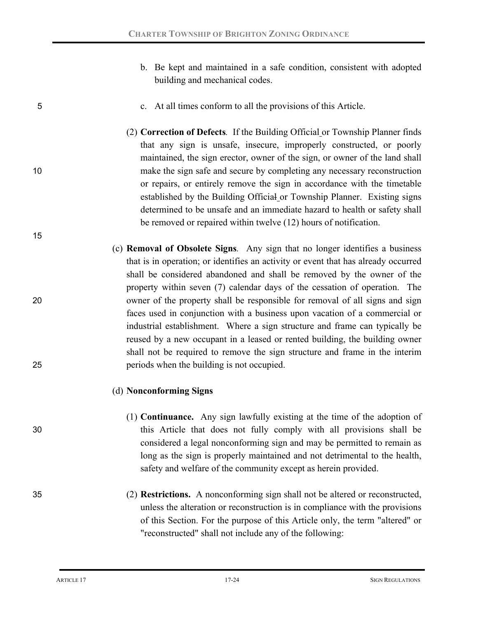b. Be kept and maintained in a safe condition, consistent with adopted building and mechanical codes.

#### 5 c. At all times conform to all the provisions of this Article.

- (2) **Correction of Defects***.* If the Building Official or Township Planner finds that any sign is unsafe, insecure, improperly constructed, or poorly maintained, the sign erector, owner of the sign, or owner of the land shall 10 make the sign safe and secure by completing any necessary reconstruction or repairs, or entirely remove the sign in accordance with the timetable established by the Building Official or Township Planner. Existing signs determined to be unsafe and an immediate hazard to health or safety shall be removed or repaired within twelve (12) hours of notification.
- (c) **Removal of Obsolete Signs***.* Any sign that no longer identifies a business that is in operation; or identifies an activity or event that has already occurred shall be considered abandoned and shall be removed by the owner of the property within seven (7) calendar days of the cessation of operation. The 20 owner of the property shall be responsible for removal of all signs and sign faces used in conjunction with a business upon vacation of a commercial or industrial establishment. Where a sign structure and frame can typically be reused by a new occupant in a leased or rented building, the building owner shall not be required to remove the sign structure and frame in the interim 25 periods when the building is not occupied.

#### (d) **Nonconforming Signs**

- (1) **Continuance.** Any sign lawfully existing at the time of the adoption of 30 this Article that does not fully comply with all provisions shall be considered a legal nonconforming sign and may be permitted to remain as long as the sign is properly maintained and not detrimental to the health, safety and welfare of the community except as herein provided.
- 35 (2) **Restrictions.** A nonconforming sign shall not be altered or reconstructed, unless the alteration or reconstruction is in compliance with the provisions of this Section. For the purpose of this Article only, the term "altered" or "reconstructed" shall not include any of the following: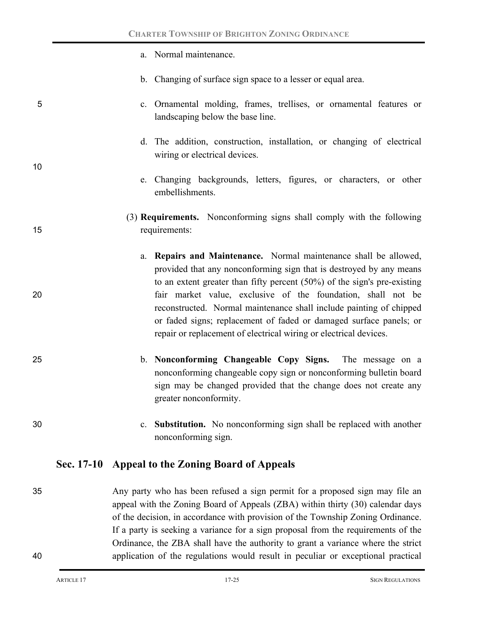a. Normal maintenance. b. Changing of surface sign space to a lesser or equal area. 5 c. Ornamental molding, frames, trellises, or ornamental features or landscaping below the base line. d. The addition, construction, installation, or changing of electrical wiring or electrical devices. 10 e. Changing backgrounds, letters, figures, or characters, or other embellishments. (3) **Requirements.** Nonconforming signs shall comply with the following 15 requirements: a. **Repairs and Maintenance.** Normal maintenance shall be allowed, provided that any nonconforming sign that is destroyed by any means to an extent greater than fifty percent (50%) of the sign's pre-existing 20 fair market value, exclusive of the foundation, shall not be reconstructed. Normal maintenance shall include painting of chipped or faded signs; replacement of faded or damaged surface panels; or repair or replacement of electrical wiring or electrical devices. 25 b. **Nonconforming Changeable Copy Signs.** The message on a nonconforming changeable copy sign or nonconforming bulletin board sign may be changed provided that the change does not create any greater nonconformity. 30 c. **Substitution.** No nonconforming sign shall be replaced with another nonconforming sign. **Sec. 17-10 Appeal to the Zoning Board of Appeals** 35 Any party who has been refused a sign permit for a proposed sign may file an appeal with the Zoning Board of Appeals (ZBA) within thirty (30) calendar days of the decision, in accordance with provision of the Township Zoning Ordinance. If a party is seeking a variance for a sign proposal from the requirements of the Ordinance, the ZBA shall have the authority to grant a variance where the strict

40 application of the regulations would result in peculiar or exceptional practical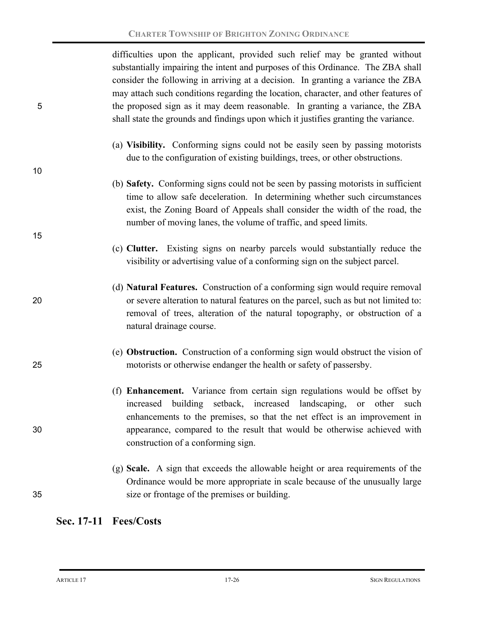difficulties upon the applicant, provided such relief may be granted without substantially impairing the intent and purposes of this Ordinance. The ZBA shall consider the following in arriving at a decision. In granting a variance the ZBA may attach such conditions regarding the location, character, and other features of 5 the proposed sign as it may deem reasonable. In granting a variance, the ZBA shall state the grounds and findings upon which it justifies granting the variance.

- (a) **Visibility.**Conforming signs could not be easily seen by passing motorists due to the configuration of existing buildings, trees, or other obstructions.
- (b) **Safety.**Conforming signs could not be seen by passing motorists in sufficient time to allow safe deceleration. In determining whether such circumstances exist, the Zoning Board of Appeals shall consider the width of the road, the number of moving lanes, the volume of traffic, and speed limits.
- (c) **Clutter.**Existing signs on nearby parcels would substantially reduce the visibility or advertising value of a conforming sign on the subject parcel.
- (d) **Natural Features.**Construction of a conforming sign would require removal 20 or severe alteration to natural features on the parcel, such as but not limited to: removal of trees, alteration of the natural topography, or obstruction of a natural drainage course.
- (e) **Obstruction.**Construction of a conforming sign would obstruct the vision of 25 motorists or otherwise endanger the health or safety of passersby.
- (f) **Enhancement.**Variance from certain sign regulations would be offset by increased building setback, increased landscaping, or other such enhancements to the premises, so that the net effect is an improvement in 30 appearance, compared to the result that would be otherwise achieved with construction of a conforming sign.
- (g) **Scale.**A sign that exceeds the allowable height or area requirements of the Ordinance would be more appropriate in scale because of the unusually large 35 size or frontage of the premises or building.

## **Sec. 17-11 Fees/Costs**

10